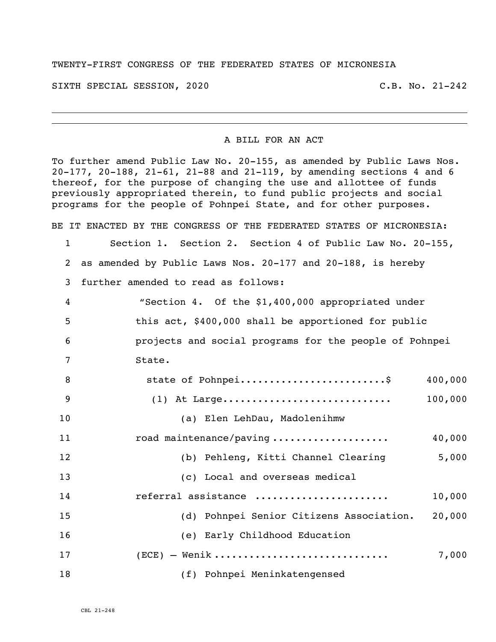## TWENTY-FIRST CONGRESS OF THE FEDERATED STATES OF MICRONESIA

SIXTH SPECIAL SESSION, 2020 C.B. No. 21-242

i<br>L

## A BILL FOR AN ACT

To further amend Public Law No. 20-155, as amended by Public Laws Nos. 20-177, 20-188, 21-61, 21-88 and 21-119, by amending sections 4 and 6 thereof, for the purpose of changing the use and allottee of funds previously appropriated therein, to fund public projects and social programs for the people of Pohnpei State, and for other purposes.

BE IT ENACTED BY THE CONGRESS OF THE FEDERATED STATES OF MICRONESIA:

 Section 1. Section 2. Section 4 of Public Law No. 20-155, as amended by Public Laws Nos. 20-177 and 20-188, is hereby further amended to read as follows: "Section 4. Of the \$1,400,000 appropriated under this act, \$400,000 shall be apportioned for public projects and social programs for the people of Pohnpei 7 State. 8 5tate of Pohnpei...........................\$ 400,000 (1) At Large............................. 100,000

 (a) Elen LehDau, Madolenihmw road maintenance/paving .................... 40,000 (b) Pehleng, Kitti Channel Clearing 5,000 (c) Local and overseas medical referral assistance ....................... 10,000 15 (d) Pohnpei Senior Citizens Association. 20,000 16 (e) Early Childhood Education (ECE) – Wenik .............................. 7,000 18 (f) Pohnpei Meninkatengensed

CBL 21-248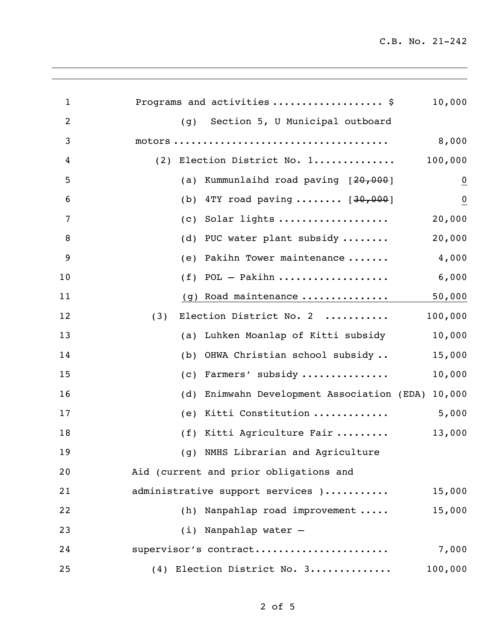| 1              | Programs and activities  \$                          | 10,000         |
|----------------|------------------------------------------------------|----------------|
| $\overline{2}$ | Section 5, U Municipal outboard<br>(q)               |                |
| 3              |                                                      | 8,000          |
| 4              | (2) Election District No. 1                          | 100,000        |
| 5              | Kummunlaihd road paving [20,000]<br>(a)              | $\overline{0}$ |
| 6              | 4TY road paving $[30,000]$<br>(b)                    | $\overline{0}$ |
| 7              | Solar lights<br>(c)                                  | 20,000         |
| 8              | PUC water plant subsidy<br>(d)                       | 20,000         |
| 9              | Pakihn Tower maintenance<br>(e)                      | 4,000          |
| 10             | POL - Pakihn<br>(f)                                  | 6,000          |
| 11             | (g) Road maintenance                                 | 50,000         |
| 12             | Election District No. 2<br>(3)                       | 100,000        |
| 13             | Luhken Moanlap of Kitti subsidy<br>(a)               | 10,000         |
| 14             | OHWA Christian school subsidy<br>(b)                 | 15,000         |
| 15             | Farmers' subsidy<br>(c)                              | 10,000         |
| 16             | Enimwahn Development Association (EDA) 10,000<br>(d) |                |
| 17             | Kitti Constitution<br>(e)                            | 5,000          |
| 18             | (f) Kitti Agriculture Fair                           | 13,000         |
| 19             | (g) NMHS Librarian and Agriculture                   |                |
| 20             | Aid (current and prior obligations and               |                |
| 21             | administrative support services )                    | 15,000         |
| 22             | (h) Nanpahlap road improvement                       | 15,000         |
| 23             | (i) Nanpahlap water -                                |                |
| 24             | supervisor's contract                                | 7,000          |
| 25             | (4) Election District No. 3                          | 100,000        |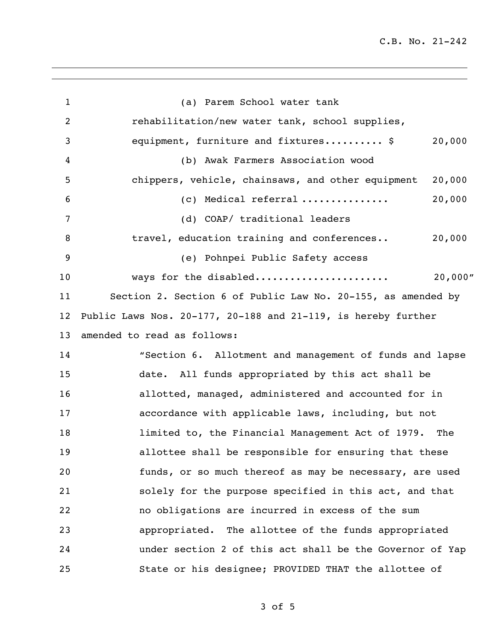| 1              | (a) Parem School water tank                                      |  |
|----------------|------------------------------------------------------------------|--|
| $\overline{2}$ | rehabilitation/new water tank, school supplies,                  |  |
| 3              | 20,000<br>equipment, furniture and fixtures \$                   |  |
| 4              | (b) Awak Farmers Association wood                                |  |
| 5              | chippers, vehicle, chainsaws, and other equipment<br>20,000      |  |
| 6              | 20,000<br>$(c)$ Medical referral                                 |  |
| 7              | (d) COAP/ traditional leaders                                    |  |
| 8              | 20,000<br>travel, education training and conferences             |  |
| 9              | (e) Pohnpei Public Safety access                                 |  |
| 10             | 20,000"<br>ways for the disabled                                 |  |
| 11             | Section 2. Section 6 of Public Law No. 20-155, as amended by     |  |
| 12             | Public Laws Nos. $20-177$ , 20-188 and 21-119, is hereby further |  |
| 13             | amended to read as follows:                                      |  |
| 14             | "Section 6. Allotment and management of funds and lapse          |  |
| 15             | date. All funds appropriated by this act shall be                |  |
| 16             | allotted, managed, administered and accounted for in             |  |
| 17             | accordance with applicable laws, including, but not              |  |
| 18             | limited to, the Financial Management Act of 1979. The            |  |
| 19             | allottee shall be responsible for ensuring that these            |  |
| 20             | funds, or so much thereof as may be necessary, are used          |  |
| 21             | solely for the purpose specified in this act, and that           |  |
| 22             | no obligations are incurred in excess of the sum                 |  |
| 23             | appropriated. The allottee of the funds appropriated             |  |
| 24             | under section 2 of this act shall be the Governor of Yap         |  |
| 25             | State or his designee; PROVIDED THAT the allottee of             |  |

of 5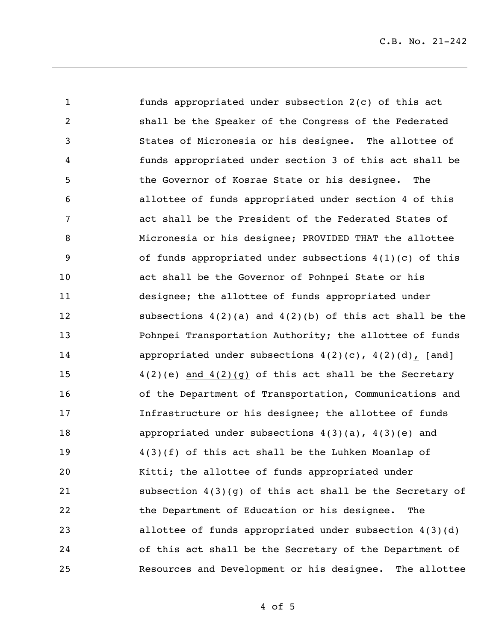funds appropriated under subsection 2(c) of this act shall be the Speaker of the Congress of the Federated States of Micronesia or his designee. The allottee of funds appropriated under section 3 of this act shall be the Governor of Kosrae State or his designee. The allottee of funds appropriated under section 4 of this act shall be the President of the Federated States of Micronesia or his designee; PROVIDED THAT the allottee of funds appropriated under subsections 4(1)(c) of this act shall be the Governor of Pohnpei State or his designee; the allottee of funds appropriated under subsections 4(2)(a) and 4(2)(b) of this act shall be the **Pohnpei Transportation Authority;** the allottee of funds 14 appropriated under subsections  $4(2)(c)$ ,  $4(2)(d)$ , [and] 4(2)(e) and 4(2)(g) of this act shall be the Secretary of the Department of Transportation, Communications and Infrastructure or his designee; the allottee of funds appropriated under subsections 4(3)(a), 4(3)(e) and 4(3)(f) of this act shall be the Luhken Moanlap of Kitti; the allottee of funds appropriated under subsection 4(3)(g) of this act shall be the Secretary of the Department of Education or his designee. The allottee of funds appropriated under subsection 4(3)(d) of this act shall be the Secretary of the Department of Resources and Development or his designee. The allottee